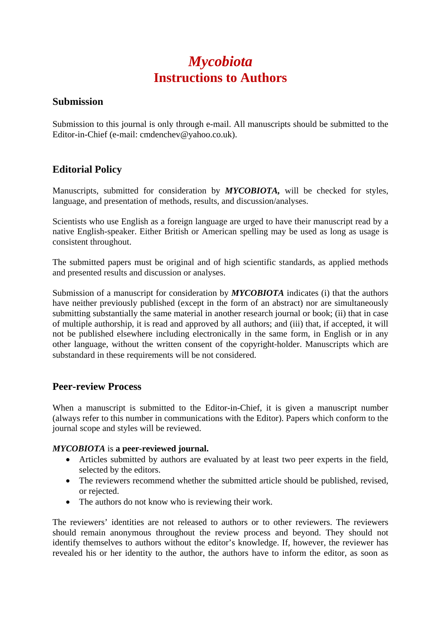# *Mycobiota* **Instructions to Authors**

# **Submission**

Submission to this journal is only through e-mail. All manuscripts should be submitted to the Editor-in-Chief (e-mail: cmdenchev@yahoo.co.uk).

# **Editorial Policy**

Manuscripts, submitted for consideration by *MYCOBIOTA,* will be checked for styles, language, and presentation of methods, results, and discussion/analyses.

Scientists who use English as a foreign language are urged to have their manuscript read by a native English-speaker. Either British or American spelling may be used as long as usage is consistent throughout.

The submitted papers must be original and of high scientific standards, as applied methods and presented results and discussion or analyses.

Submission of a manuscript for consideration by *MYCOBIOTA* indicates (i) that the authors have neither previously published (except in the form of an abstract) nor are simultaneously submitting substantially the same material in another research journal or book; (ii) that in case of multiple authorship, it is read and approved by all authors; and (iii) that, if accepted, it will not be published elsewhere including electronically in the same form, in English or in any other language, without the written consent of the copyright‐holder. Manuscripts which are substandard in these requirements will be not considered.

# **Peer-review Process**

When a manuscript is submitted to the Editor-in-Chief, it is given a manuscript number (always refer to this number in communications with the Editor). Papers which conform to the journal scope and styles will be reviewed.

# *MYCOBIOTA* is **a peer-reviewed journal.**

- Articles submitted by authors are evaluated by at least two peer experts in the field, selected by the editors.
- The reviewers recommend whether the submitted article should be published, revised, or rejected.
- The authors do not know who is reviewing their work.

The reviewers' identities are not released to authors or to other reviewers. The reviewers should remain anonymous throughout the review process and beyond. They should not identify themselves to authors without the editor's knowledge. If, however, the reviewer has revealed his or her identity to the author, the authors have to inform the editor, as soon as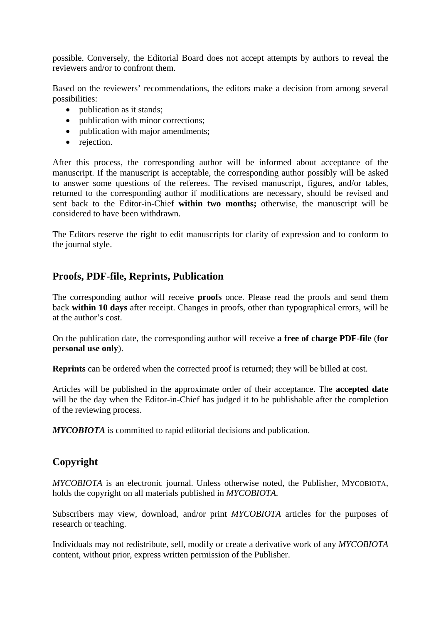possible. Conversely, the Editorial Board does not accept attempts by authors to reveal the reviewers and/or to confront them.

Based on the reviewers' recommendations, the editors make a decision from among several possibilities:

- publication as it stands;
- publication with minor corrections;
- publication with major amendments;
- rejection.

After this process, the corresponding author will be informed about acceptance of the manuscript. If the manuscript is acceptable, the corresponding author possibly will be asked to answer some questions of the referees. The revised manuscript, figures, and/or tables, returned to the corresponding author if modifications are necessary, should be revised and sent back to the Editor-in-Chief **within two months;** otherwise, the manuscript will be considered to have been withdrawn.

The Editors reserve the right to edit manuscripts for clarity of expression and to conform to the journal style.

# **Proofs, PDF-file, Reprints, Publication**

The corresponding author will receive **proofs** once. Please read the proofs and send them back **within 10 days** after receipt. Changes in proofs, other than typographical errors, will be at the author's cost.

On the publication date, the corresponding author will receive **a free of charge PDF-file** (**for personal use only**).

**Reprints** can be ordered when the corrected proof is returned; they will be billed at cost.

Articles will be published in the approximate order of their acceptance. The **accepted date** will be the day when the Editor-in-Chief has judged it to be publishable after the completion of the reviewing process.

*MYCOBIOTA* is committed to rapid editorial decisions and publication.

# **Copyright**

*MYCOBIOTA* is an electronic journal*.* Unless otherwise noted, the Publisher, MYCOBIOTA*,* holds the copyright on all materials published in *MYCOBIOTA.*

Subscribers may view, download, and/or print *MYCOBIOTA* articles for the purposes of research or teaching.

Individuals may not redistribute, sell, modify or create a derivative work of any *MYCOBIOTA*  content, without prior, express written permission of the Publisher.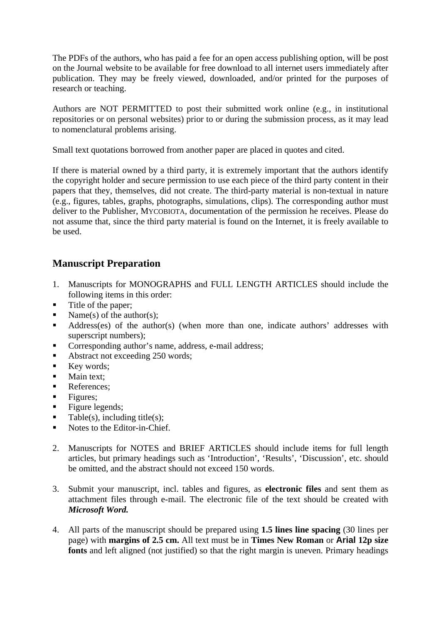The PDFs of the authors, who has paid a fee for an open access publishing option, will be post on the Journal website to be available for free download to all internet users immediately after publication. They may be freely viewed, downloaded, and/or printed for the purposes of research or teaching.

Authors are NOT PERMITTED to post their submitted work online (e.g., in institutional repositories or on personal websites) prior to or during the submission process, as it may lead to nomenclatural problems arising.

Small text quotations borrowed from another paper are placed in quotes and cited.

If there is material owned by a third party, it is extremely important that the authors identify the copyright holder and secure permission to use each piece of the third party content in their papers that they, themselves, did not create. The third-party material is non-textual in nature (e.g., figures, tables, graphs, photographs, simulations, clips). The corresponding author must deliver to the Publisher, MYCOBIOTA*,* documentation of the permission he receives. Please do not assume that, since the third party material is found on the Internet, it is freely available to be used.

# **Manuscript Preparation**

- 1. Manuscripts for MONOGRAPHS and FULL LENGTH ARTICLES should include the following items in this order:
- Title of the paper;
- Name(s) of the author(s):
- Address(es) of the author(s) (when more than one, indicate authors' addresses with superscript numbers);
- Corresponding author's name, address, e-mail address;
- Abstract not exceeding 250 words;
- $\blacksquare$  Key words;
- $\blacksquare$  Main text:
- References:
- $\blacksquare$  Figures;
- $\blacksquare$  Figure legends;
- $\blacksquare$  Table(s), including title(s);
- Notes to the Editor-in-Chief.
- 2. Manuscripts for NOTES and BRIEF ARTICLES should include items for full length articles, but primary headings such as 'Introduction', 'Results', 'Discussion', etc. should be omitted, and the abstract should not exceed 150 words.
- 3. Submit your manuscript, incl. tables and figures, as **electronic files** and sent them as attachment files through e-mail. The electronic file of the text should be created with *Microsoft Word.*
- 4. All parts of the manuscript should be prepared using **1.5 lines line spacing** (30 lines per page) with **margins of 2.5 cm.** All text must be in **Times New Roman** or **Arial 12p size fonts** and left aligned (not justified) so that the right margin is uneven. Primary headings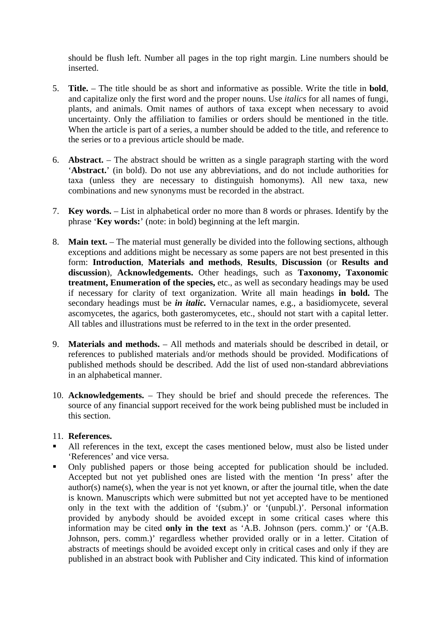should be flush left. Number all pages in the top right margin. Line numbers should be inserted.

- 5. **Title.** The title should be as short and informative as possible. Write the title in **bold**, and capitalize only the first word and the proper nouns. Use *italics* for all names of fungi, plants, and animals. Omit names of authors of taxa except when necessary to avoid uncertainty. Only the affiliation to families or orders should be mentioned in the title. When the article is part of a series, a number should be added to the title, and reference to the series or to a previous article should be made.
- 6. **Abstract.** The abstract should be written as a single paragraph starting with the word '**Abstract.**' (in bold). Do not use any abbreviations, and do not include authorities for taxa (unless they are necessary to distinguish homonyms). All new taxa, new combinations and new synonyms must be recorded in the abstract.
- 7. **Key words.** List in alphabetical order no more than 8 words or phrases. Identify by the phrase '**Key words:**' (note: in bold) beginning at the left margin.
- 8. **Main text.** The material must generally be divided into the following sections, although exceptions and additions might be necessary as some papers are not best presented in this form: **Introduction**, **Materials and methods**, **Results**, **Discussion** (or **Results and discussion**), **Acknowledgements.** Other headings, such as **Taxonomy, Taxonomic treatment, Enumeration of the species,** etc., as well as secondary headings may be used if necessary for clarity of text organization. Write all main headings **in bold.** The secondary headings must be *in italic.* Vernacular names, e.g., a basidiomycete, several ascomycetes, the agarics, both gasteromycetes, etc., should not start with a capital letter. All tables and illustrations must be referred to in the text in the order presented.
- 9. **Materials and methods.** All methods and materials should be described in detail, or references to published materials and/or methods should be provided. Modifications of published methods should be described. Add the list of used non-standard abbreviations in an alphabetical manner.
- 10. **Acknowledgements.** They should be brief and should precede the references. The source of any financial support received for the work being published must be included in this section.

#### 11. **References.**

- All references in the text, except the cases mentioned below, must also be listed under 'References' and vice versa.
- Only published papers or those being accepted for publication should be included. Accepted but not yet published ones are listed with the mention 'In press' after the author(s) name(s), when the year is not yet known, or after the journal title, when the date is known. Manuscripts which were submitted but not yet accepted have to be mentioned only in the text with the addition of '(subm.)' or '(unpubl.)'. Personal information provided by anybody should be avoided except in some critical cases where this information may be cited **only in the text** as 'A.B. Johnson (pers. comm.)' or '(A.B. Johnson, pers. comm.)' regardless whether provided orally or in a letter. Citation of abstracts of meetings should be avoided except only in critical cases and only if they are published in an abstract book with Publisher and City indicated. This kind of information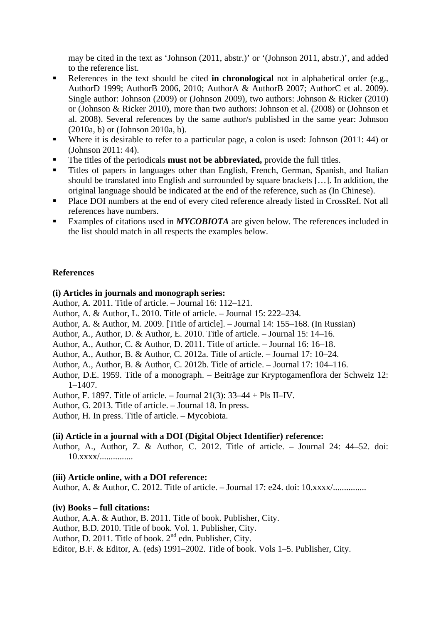may be cited in the text as 'Johnson (2011, abstr.)' or '(Johnson 2011, abstr.)', and added to the reference list.

- References in the text should be cited **in chronological** not in alphabetical order (e.g., AuthorD 1999; AuthorB 2006, 2010; AuthorA & AuthorB 2007; AuthorC et al. 2009). Single author: Johnson (2009) or (Johnson 2009), two authors: Johnson & Ricker (2010) or (Johnson & Ricker 2010), more than two authors: Johnson et al. (2008) or (Johnson et al. 2008). Several references by the same author/s published in the same year: Johnson (2010a, b) or (Johnson 2010a, b).
- Where it is desirable to refer to a particular page, a colon is used: Johnson (2011: 44) or (Johnson 2011: 44).
- The titles of the periodicals **must not be abbreviated,** provide the full titles.
- Titles of papers in languages other than English, French, German, Spanish, and Italian should be translated into English and surrounded by square brackets […]. In addition, the original language should be indicated at the end of the reference, such as (In Chinese).
- **Place DOI numbers at the end of every cited reference already listed in CrossRef.** Not all references have numbers.
- Examples of citations used in *MYCOBIOTA* are given below. The references included in the list should match in all respects the examples below.

# **References**

#### **(i) Articles in journals and monograph series:**

Author, A. 2011. Title of article. – Journal 16: 112–121.

- Author, A. & Author, L. 2010. Title of article. Journal 15: 222–234.
- Author, A. & Author, M. 2009. [Title of article]. Journal 14: 155–168. (In Russian)
- Author, A., Author, D. & Author, E. 2010. Title of article. Journal 15: 14–16.
- Author, A., Author, C. & Author, D. 2011. Title of article. Journal 16: 16–18.
- Author, A., Author, B. & Author, C. 2012a. Title of article. Journal 17: 10–24.
- Author, A., Author, B. & Author, C. 2012b. Title of article. Journal 17: 104–116.
- Author, D.E. 1959. Title of a monograph. Beiträge zur Kryptogamenflora der Schweiz 12: 1–1407.

Author, F. 1897. Title of article. – Journal 21(3): 33–44 + Pls II–IV.

- Author, G. 2013. Title of article. Journal 18. In press.
- Author, H. In press. Title of article. Mycobiota.

# **(ii) Article in a journal with a DOI (Digital Object Identifier) reference:**

Author, A., Author, Z. & Author, C. 2012. Title of article. – Journal 24: 44–52. doi: 10.xxxx/...............

#### **(iii) Article online, with a DOI reference:**

Author, A. & Author, C. 2012. Title of article. – Journal 17: e24. doi: 10.xxxx/..............................

# **(iv) Books – full citations:**

Author, A.A. & Author, B. 2011. Title of book. Publisher, City. Author, B.D. 2010. Title of book. Vol. 1. Publisher, City. Author, D. 2011. Title of book.  $2<sup>nd</sup>$  edn. Publisher, City. Editor, B.F. & Editor, A. (eds) 1991–2002. Title of book. Vols 1–5. Publisher, City.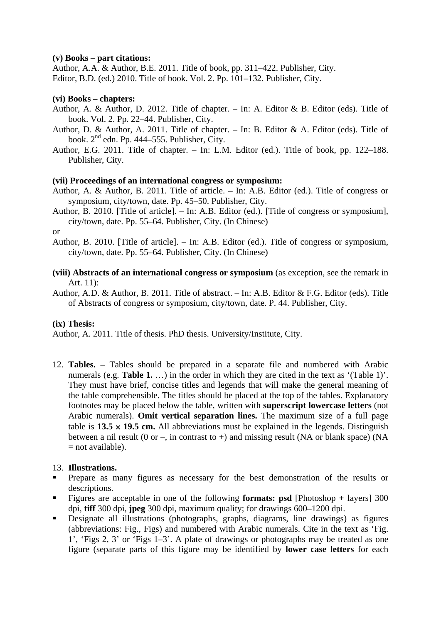#### **(v) Books – part citations:**

Author, A.A. & Author, B.E. 2011. Title of book, pp. 311–422. Publisher, City. Editor, B.D. (ed.) 2010. Title of book. Vol. 2. Pp. 101–132. Publisher, City.

#### **(vi) Books – chapters:**

- Author, A. & Author, D. 2012. Title of chapter. In: A. Editor & B. Editor (eds). Title of book. Vol. 2. Pp. 22–44. Publisher, City.
- Author, D. & Author, A. 2011. Title of chapter. In: B. Editor & A. Editor (eds). Title of book. 2nd edn. Pp. 444–555. Publisher, City.
- Author, E.G. 2011. Title of chapter. In: L.M. Editor (ed.). Title of book, pp. 122–188. Publisher, City.

#### **(vii) Proceedings of an international congress or symposium:**

- Author, A. & Author, B. 2011. Title of article. In: A.B. Editor (ed.). Title of congress or symposium, city/town, date. Pp. 45–50. Publisher, City.
- Author, B. 2010. [Title of article]. In: A.B. Editor (ed.). [Title of congress or symposium], city/town, date. Pp. 55–64. Publisher, City. (In Chinese)

or

- Author, B. 2010. [Title of article]. In: A.B. Editor (ed.). Title of congress or symposium, city/town, date. Pp. 55–64. Publisher, City. (In Chinese)
- **(viii) Abstracts of an international congress or symposium** (as exception, see the remark in Art. 11):

Author, A.D. & Author, B. 2011. Title of abstract. – In: A.B. Editor & F.G. Editor (eds). Title of Abstracts of congress or symposium, city/town, date. P. 44. Publisher, City.

#### **(ix) Thesis:**

Author, A. 2011. Title of thesis. PhD thesis. University/Institute, City.

12. **Tables.** – Tables should be prepared in a separate file and numbered with Arabic numerals (e.g. **Table 1.** ...) in the order in which they are cited in the text as '(Table 1)'. They must have brief, concise titles and legends that will make the general meaning of the table comprehensible. The titles should be placed at the top of the tables. Explanatory footnotes may be placed below the table, written with **superscript lowercase letters** (not Arabic numerals). **Omit vertical separation lines.** The maximum size of a full page table is  $13.5 \times 19.5$  cm. All abbreviations must be explained in the legends. Distinguish between a nil result (0 or –, in contrast to +) and missing result (NA or blank space) (NA  $=$  not available).

#### 13. **Illustrations.**

- Prepare as many figures as necessary for the best demonstration of the results or descriptions.
- Figures are acceptable in one of the following **formats: psd** [Photoshop + layers] 300 dpi, **tiff** 300 dpi, **jpeg** 300 dpi, maximum quality; for drawings 600–1200 dpi.
- Designate all illustrations (photographs, graphs, diagrams, line drawings) as figures (abbreviations: Fig., Figs) and numbered with Arabic numerals. Cite in the text as 'Fig. 1', 'Figs 2, 3' or 'Figs 1–3'. A plate of drawings or photographs may be treated as one figure (separate parts of this figure may be identified by **lower case letters** for each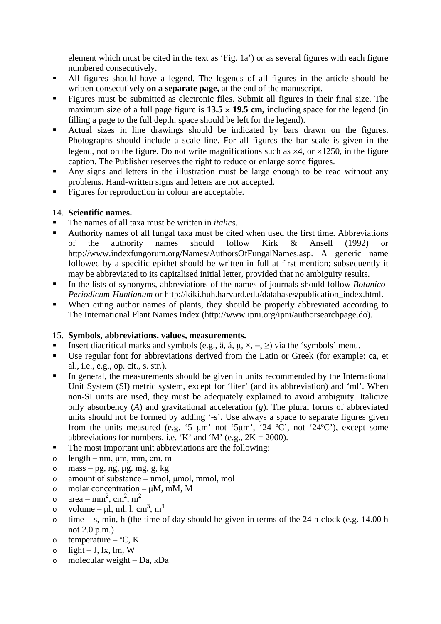element which must be cited in the text as 'Fig. 1a') or as several figures with each figure numbered consecutively.

- All figures should have a legend. The legends of all figures in the article should be written consecutively **on a separate page,** at the end of the manuscript.
- Figures must be submitted as electronic files. Submit all figures in their final size. The maximum size of a full page figure is  $13.5 \times 19.5$  cm, including space for the legend (in filling a page to the full depth, space should be left for the legend).
- Actual sizes in line drawings should be indicated by bars drawn on the figures. Photographs should include a scale line. For all figures the bar scale is given in the legend, not on the figure. Do not write magnifications such as  $\times$ 4, or  $\times$ 1250, in the figure caption. The Publisher reserves the right to reduce or enlarge some figures.
- Any signs and letters in the illustration must be large enough to be read without any problems. Hand-written signs and letters are not accepted.
- Figures for reproduction in colour are acceptable.

#### 14. **Scientific names.**

- The names of all taxa must be written in *italics.*
- Authority names of all fungal taxa must be cited when used the first time. Abbreviations of the authority names should follow Kirk & Ansell (1992) or http://www.indexfungorum.org/Names/AuthorsOfFungalNames.asp. A generic name followed by a specific epithet should be written in full at first mention; subsequently it may be abbreviated to its capitalised initial letter, provided that no ambiguity results.
- In the lists of synonyms, abbreviations of the names of journals should follow *Botanico-Periodicum-Huntianum* or http://kiki.huh.harvard.edu/databases/publication\_index.html.
- When citing author names of plants, they should be properly abbreviated according to The International Plant Names Index (http://www.ipni.org/ipni/authorsearchpage.do).

# 15. **Symbols, abbreviations, values, measurements.**

- Insert diacritical marks and symbols (e.g., ä, á,  $\mu$ ,  $\times$ ,  $\equiv$ ,  $\geq$ ) via the 'symbols' menu.
- Use regular font for abbreviations derived from the Latin or Greek (for example: ca, et al., i.e., e.g., op. cit., s. str.).
- In general, the measurements should be given in units recommended by the International Unit System (SI) metric system, except for 'liter' (and its abbreviation) and 'ml'. When non-SI units are used, they must be adequately explained to avoid ambiguity. Italicize only absorbency (*A*) and gravitational acceleration (*g*). The plural forms of abbreviated units should not be formed by adding '-s'. Use always a space to separate figures given from the units measured (e.g. '5  $\mu$ m' not '5 $\mu$ m', '24 °C', not '24°C'), except some abbreviations for numbers, i.e. 'K' and 'M' (e.g.,  $2K = 2000$ ).
- The most important unit abbreviations are the following:
- o length nm,  $\mu$ m, mm, cm, m
- $o$  mass pg, ng, μg, mg, g, kg
- o amount of substance nmol, μmol, mmol, mol
- o molar concentration μM, mM, M
- $\sigma$  area mm<sup>2</sup>, cm<sup>2</sup>, m<sup>2</sup>
- o volume  $\mu$ l, ml, l, cm<sup>3</sup>, m<sup>3</sup>
- o time s, min, h (the time of day should be given in terms of the 24 h clock (e.g. 14.00 h not 2.0 p.m.)
- $\circ$  temperature °C, K
- $\circ$  light J, lx, lm, W
- o molecular weight Da, kDa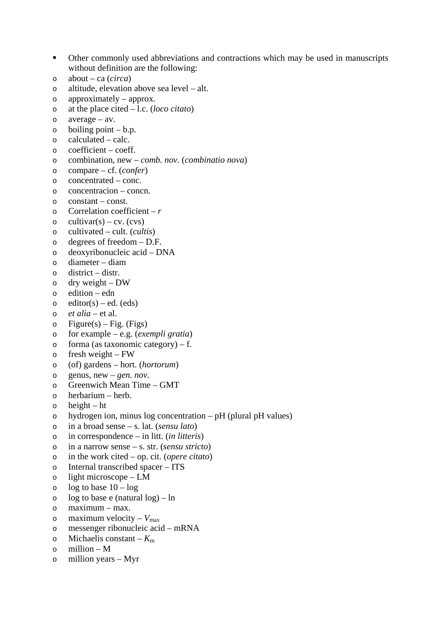- Other commonly used abbreviations and contractions which may be used in manuscripts without definition are the following:
- o about ca (*circa*)
- o altitude, elevation above sea level alt.
- o approximately approx.
- o at the place cited l.c. (*loco citato*)
- $\circ$  average av.
- $\circ$  boiling point b.p.
- o calculated calc.
- o coefficient coeff.
- o combination, new *comb. nov.* (*combinatio nova*)
- o compare cf. (*confer*)
- o concentrated conc.
- o concentracion concn.
- o constant const.
- o Correlation coefficient *r*
- $\circ$  cultivar(s) cv. (cvs)
- o cultivated cult. (*cultis*)
- o degrees of freedom D.F.
- o deoxyribonucleic acid DNA
- o diameter diam
- $\circ$  district distr.
- $\circ$  dry weight DW
- o edition edn
- $\circ$  editor(s) ed. (eds)
- o *et alia* et al.
- $\circ$  Figure(s) Fig. (Figs)
- o for example e.g. (*exempli gratia*)
- o forma (as taxonomic category) f.
- $\circ$  fresh weight FW
- o (of) gardens hort. (*hortorum*)
- o genus, new *gen. nov.*
- o Greenwich Mean Time GMT
- o herbarium herb.
- $\circ$  height ht
- o hydrogen ion, minus log concentration pH (plural pH values)
- o in a broad sense s. lat. (*sensu lato*)
- o in correspondence in litt. (*in litteris*)
- o in a narrow sense s. str. (*sensu stricto*)
- o in the work cited op. cit. (*opere citato*)
- o Internal transcribed spacer ITS
- o light microscope LM
- $\circ$  log to base  $10 \log$
- $\circ$  log to base e (natural log) ln
- o maximum max.
- o maximum velocity  $V_{\text{max}}$
- o messenger ribonucleic acid mRNA
- o Michaelis constant  $K<sub>m</sub>$
- $\circ$  million M
- o million years Myr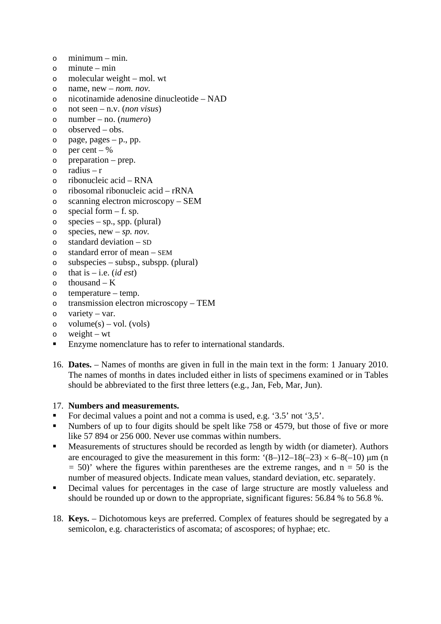- $\circ$  minimum min.
- o minute min
- o molecular weight mol. wt
- o name, new *nom. nov.*
- o nicotinamide adenosine dinucleotide NAD
- o not seen n.v. (*non visus*)
- o number no. (*numero*)
- o observed obs.
- $o$  page, pages p., pp.
- $\circ$  per cent %
- $\circ$  preparation prep.
- o radius r
- o ribonucleic acid RNA
- o ribosomal ribonucleic acid rRNA
- o scanning electron microscopy SEM
- $\circ$  special form f. sp.
- $\circ$  species sp., spp. (plural)
- o species, new *sp. nov.*
- o standard deviation SD
- o standard error of mean SEM
- o subspecies subsp., subspp. (plural)
- o that is i.e. (*id est*)
- $\circ$  thousand K
- o temperature temp.
- o transmission electron microscopy TEM
- $\circ$  variety var.
- $\circ$  volume(s) vol. (vols)
- $\circ$  weight wt
- **Enzyme nomenclature has to refer to international standards.**
- 16. **Dates.** Names of months are given in full in the main text in the form: 1 January 2010. The names of months in dates included either in lists of specimens examined or in Tables should be abbreviated to the first three letters (e.g., Jan, Feb, Mar, Jun).

#### 17. **Numbers and measurements.**

- For decimal values a point and not a comma is used, e.g. '3.5' not '3,5'.
- Numbers of up to four digits should be spelt like  $758$  or 4579, but those of five or more like 57 894 or 256 000. Never use commas within numbers.
- **Measurements of structures should be recorded as length by width (or diameter). Authors** are encouraged to give the measurement in this form:  $(8-12-18(-23) \times 6-8(-10) \text{ µm}$  (n  $=$  50)' where the figures within parentheses are the extreme ranges, and  $n = 50$  is the number of measured objects. Indicate mean values, standard deviation, etc. separately.
- **•** Decimal values for percentages in the case of large structure are mostly valueless and should be rounded up or down to the appropriate, significant figures: 56.84 % to 56.8 %.
- 18. **Keys.** Dichotomous keys are preferred. Complex of features should be segregated by a semicolon, e.g. characteristics of ascomata; of ascospores; of hyphae; etc.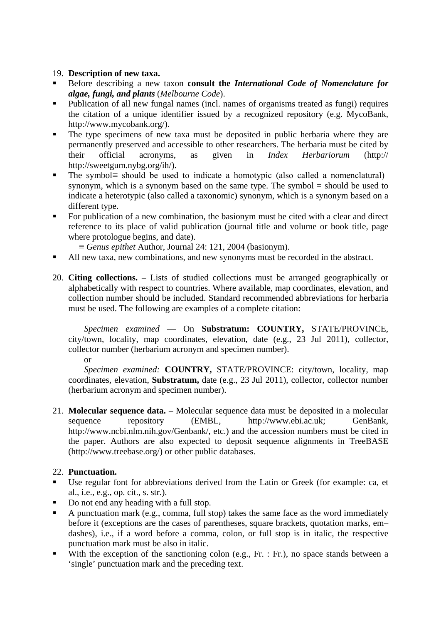# 19. **Description of new taxa.**

- Before describing a new taxon **consult the** *International Code of Nomenclature for algae, fungi, and plants* (*Melbourne Code*).
- Publication of all new fungal names (incl. names of organisms treated as fungi) requires the citation of a unique identifier issued by a recognized repository (e.g. MycoBank, http://www.mycobank.org/).
- The type specimens of new taxa must be deposited in public herbaria where they are permanently preserved and accessible to other researchers. The herbaria must be cited by their official acronyms, as given in *Index Herbariorum* (http:// http://sweetgum.nybg.org/ih/).
- The symbol ≡ should be used to indicate a homotypic (also called a nomenclatural) synonym, which is a synonym based on the same type. The symbol  $=$  should be used to indicate a heterotypic (also called a taxonomic) synonym, which is a synonym based on a different type.
- For publication of a new combination, the basionym must be cited with a clear and direct reference to its place of valid publication (journal title and volume or book title, page where protologue begins, and date).
	- ≡ *Genus epithet* Author, Journal 24: 121, 2004 (basionym).
- All new taxa, new combinations, and new synonyms must be recorded in the abstract.
- 20. **Citing collections.** Lists of studied collections must be arranged geographically or alphabetically with respect to countries. Where available, map coordinates, elevation, and collection number should be included. Standard recommended abbreviations for herbaria must be used. The following are examples of a complete citation:

*Specimen examined* — On **Substratum: COUNTRY,** STATE/PROVINCE, city/town, locality, map coordinates, elevation, date (e.g., 23 Jul 2011), collector, collector number (herbarium acronym and specimen number).

or

*Specimen examined:* **COUNTRY,** STATE/PROVINCE: city/town, locality, map coordinates, elevation, **Substratum,** date (e.g., 23 Jul 2011), collector, collector number (herbarium acronym and specimen number).

21. **Molecular sequence data.** – Molecular sequence data must be deposited in a molecular sequence repository (EMBL, http://www.ebi.ac.uk; GenBank, http://www.ncbi.nlm.nih.gov/Genbank/, etc.) and the accession numbers must be cited in the paper. Authors are also expected to deposit sequence alignments in TreeBASE (http://www.treebase.org/) or other public databases.

# 22. **Punctuation.**

- Use regular font for abbreviations derived from the Latin or Greek (for example: ca, et al., i.e., e.g., op. cit., s. str.).
- Do not end any heading with a full stop.
- A punctuation mark (e.g., comma, full stop) takes the same face as the word immediately before it (exceptions are the cases of parentheses, square brackets, quotation marks, em– dashes), i.e., if a word before a comma, colon, or full stop is in italic, the respective punctuation mark must be also in italic.
- With the exception of the sanctioning colon (e.g., Fr. : Fr.), no space stands between a 'single' punctuation mark and the preceding text.